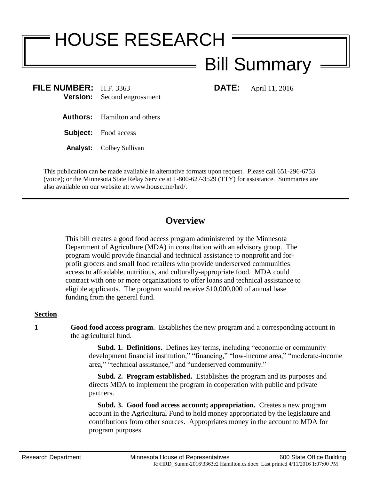# HOUSE RESEARCH

# Bill Summary

**FILE NUMBER:** H.F. 3363 **DATE:** April 11, 2016 **Version:** Second engrossment

- **Authors:** Hamilton and others
- **Subject:** Food access
- **Analyst:** Colbey Sullivan

This publication can be made available in alternative formats upon request. Please call 651-296-6753 (voice); or the Minnesota State Relay Service at 1-800-627-3529 (TTY) for assistance. Summaries are also available on our website at: www.house.mn/hrd/.

## **Overview**

This bill creates a good food access program administered by the Minnesota Department of Agriculture (MDA) in consultation with an advisory group. The program would provide financial and technical assistance to nonprofit and forprofit grocers and small food retailers who provide underserved communities access to affordable, nutritious, and culturally-appropriate food. MDA could contract with one or more organizations to offer loans and technical assistance to eligible applicants. The program would receive \$10,000,000 of annual base funding from the general fund.

### **Section**

**1 Good food access program.** Establishes the new program and a corresponding account in the agricultural fund.

> **Subd. 1. Definitions.** Defines key terms, including "economic or community development financial institution," "financing," "low-income area," "moderate-income area," "technical assistance," and "underserved community."

 **Subd. 2. Program established.** Establishes the program and its purposes and directs MDA to implement the program in cooperation with public and private partners.

 **Subd. 3. Good food access account; appropriation.** Creates a new program account in the Agricultural Fund to hold money appropriated by the legislature and contributions from other sources. Appropriates money in the account to MDA for program purposes.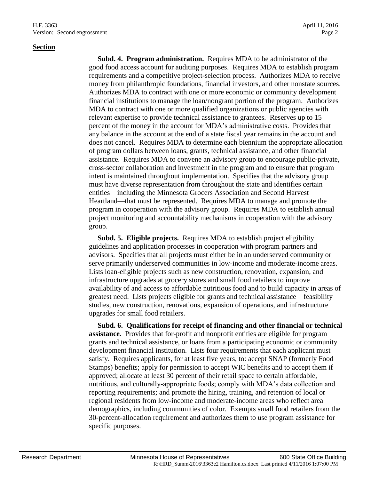#### **Section**

 **Subd. 4. Program administration.** Requires MDA to be administrator of the good food access account for auditing purposes. Requires MDA to establish program requirements and a competitive project-selection process. Authorizes MDA to receive money from philanthropic foundations, financial investors, and other nonstate sources. Authorizes MDA to contract with one or more economic or community development financial institutions to manage the loan/nongrant portion of the program. Authorizes MDA to contract with one or more qualified organizations or public agencies with relevant expertise to provide technical assistance to grantees. Reserves up to 15 percent of the money in the account for MDA's administrative costs. Provides that any balance in the account at the end of a state fiscal year remains in the account and does not cancel. Requires MDA to determine each biennium the appropriate allocation of program dollars between loans, grants, technical assistance, and other financial assistance. Requires MDA to convene an advisory group to encourage public-private, cross-sector collaboration and investment in the program and to ensure that program intent is maintained throughout implementation. Specifies that the advisory group must have diverse representation from throughout the state and identifies certain entities—including the Minnesota Grocers Association and Second Harvest Heartland—that must be represented. Requires MDA to manage and promote the program in cooperation with the advisory group. Requires MDA to establish annual project monitoring and accountability mechanisms in cooperation with the advisory group.

 **Subd. 5. Eligible projects.** Requires MDA to establish project eligibility guidelines and application processes in cooperation with program partners and advisors. Specifies that all projects must either be in an underserved community or serve primarily underserved communities in low-income and moderate-income areas. Lists loan-eligible projects such as new construction, renovation, expansion, and infrastructure upgrades at grocery stores and small food retailers to improve availability of and access to affordable nutritious food and to build capacity in areas of greatest need. Lists projects eligible for grants and technical assistance – feasibility studies, new construction, renovations, expansion of operations, and infrastructure upgrades for small food retailers.

 **Subd. 6. Qualifications for receipt of financing and other financial or technical assistance.** Provides that for-profit and nonprofit entities are eligible for program grants and technical assistance, or loans from a participating economic or community development financial institution. Lists four requirements that each applicant must satisfy. Requires applicants, for at least five years, to: accept SNAP (formerly Food Stamps) benefits; apply for permission to accept WIC benefits and to accept them if approved; allocate at least 30 percent of their retail space to certain affordable, nutritious, and culturally-appropriate foods; comply with MDA's data collection and reporting requirements; and promote the hiring, training, and retention of local or regional residents from low-income and moderate-income areas who reflect area demographics, including communities of color. Exempts small food retailers from the 30-percent-allocation requirement and authorizes them to use program assistance for specific purposes.